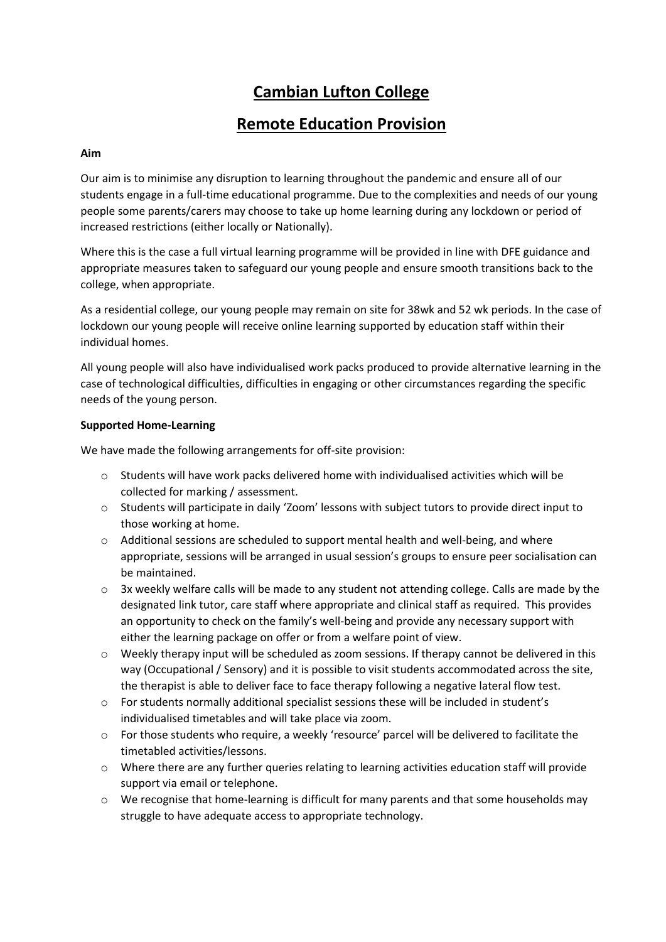# **Cambian Lufton College**

# **Remote Education Provision**

### **Aim**

Our aim is to minimise any disruption to learning throughout the pandemic and ensure all of our students engage in a full-time educational programme. Due to the complexities and needs of our young people some parents/carers may choose to take up home learning during any lockdown or period of increased restrictions (either locally or Nationally).

Where this is the case a full virtual learning programme will be provided in line with DFE guidance and appropriate measures taken to safeguard our young people and ensure smooth transitions back to the college, when appropriate.

As a residential college, our young people may remain on site for 38wk and 52 wk periods. In the case of lockdown our young people will receive online learning supported by education staff within their individual homes.

All young people will also have individualised work packs produced to provide alternative learning in the case of technological difficulties, difficulties in engaging or other circumstances regarding the specific needs of the young person.

#### **Supported Home-Learning**

We have made the following arrangements for off-site provision:

- $\circ$  Students will have work packs delivered home with individualised activities which will be collected for marking / assessment.
- o Students will participate in daily 'Zoom' lessons with subject tutors to provide direct input to those working at home.
- o Additional sessions are scheduled to support mental health and well-being, and where appropriate, sessions will be arranged in usual session's groups to ensure peer socialisation can be maintained.
- $\circ$  3x weekly welfare calls will be made to any student not attending college. Calls are made by the designated link tutor, care staff where appropriate and clinical staff as required. This provides an opportunity to check on the family's well-being and provide any necessary support with either the learning package on offer or from a welfare point of view.
- $\circ$  Weekly therapy input will be scheduled as zoom sessions. If therapy cannot be delivered in this way (Occupational / Sensory) and it is possible to visit students accommodated across the site, the therapist is able to deliver face to face therapy following a negative lateral flow test.
- o For students normally additional specialist sessions these will be included in student's individualised timetables and will take place via zoom.
- o For those students who require, a weekly 'resource' parcel will be delivered to facilitate the timetabled activities/lessons.
- $\circ$  Where there are any further queries relating to learning activities education staff will provide support via email or telephone.
- $\circ$  We recognise that home-learning is difficult for many parents and that some households may struggle to have adequate access to appropriate technology.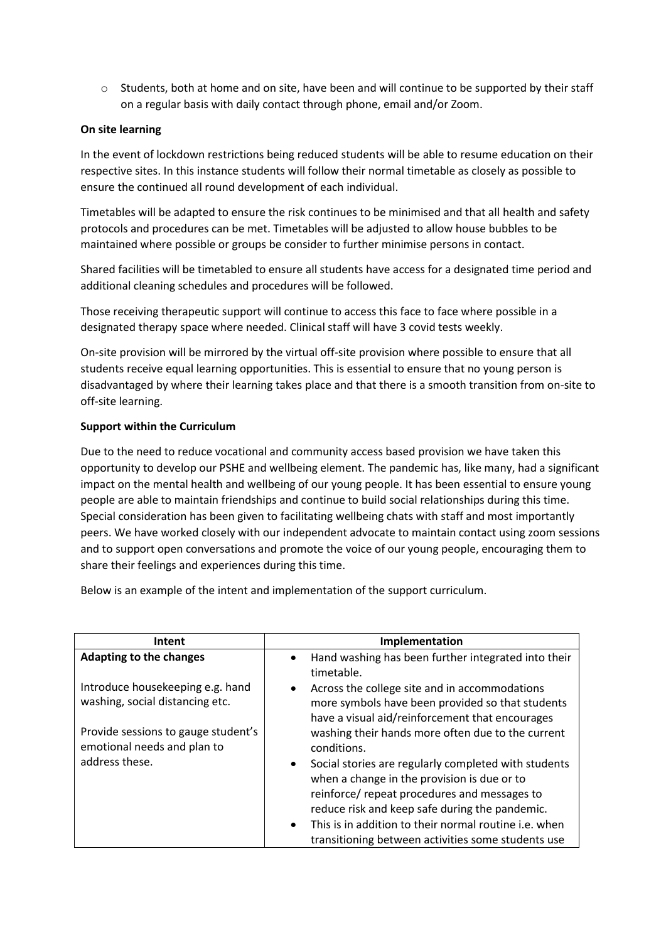o Students, both at home and on site, have been and will continue to be supported by their staff on a regular basis with daily contact through phone, email and/or Zoom.

#### **On site learning**

In the event of lockdown restrictions being reduced students will be able to resume education on their respective sites. In this instance students will follow their normal timetable as closely as possible to ensure the continued all round development of each individual.

Timetables will be adapted to ensure the risk continues to be minimised and that all health and safety protocols and procedures can be met. Timetables will be adjusted to allow house bubbles to be maintained where possible or groups be consider to further minimise persons in contact.

Shared facilities will be timetabled to ensure all students have access for a designated time period and additional cleaning schedules and procedures will be followed.

Those receiving therapeutic support will continue to access this face to face where possible in a designated therapy space where needed. Clinical staff will have 3 covid tests weekly.

On-site provision will be mirrored by the virtual off-site provision where possible to ensure that all students receive equal learning opportunities. This is essential to ensure that no young person is disadvantaged by where their learning takes place and that there is a smooth transition from on-site to off-site learning.

#### **Support within the Curriculum**

Due to the need to reduce vocational and community access based provision we have taken this opportunity to develop our PSHE and wellbeing element. The pandemic has, like many, had a significant impact on the mental health and wellbeing of our young people. It has been essential to ensure young people are able to maintain friendships and continue to build social relationships during this time. Special consideration has been given to facilitating wellbeing chats with staff and most importantly peers. We have worked closely with our independent advocate to maintain contact using zoom sessions and to support open conversations and promote the voice of our young people, encouraging them to share their feelings and experiences during this time.

Below is an example of the intent and implementation of the support curriculum.

| Intent                                                              | Implementation                                                                                                                                                                                                     |
|---------------------------------------------------------------------|--------------------------------------------------------------------------------------------------------------------------------------------------------------------------------------------------------------------|
| <b>Adapting to the changes</b>                                      | Hand washing has been further integrated into their<br>$\bullet$<br>timetable.                                                                                                                                     |
| Introduce housekeeping e.g. hand<br>washing, social distancing etc. | Across the college site and in accommodations<br>$\bullet$<br>more symbols have been provided so that students<br>have a visual aid/reinforcement that encourages                                                  |
| Provide sessions to gauge student's<br>emotional needs and plan to  | washing their hands more often due to the current<br>conditions.                                                                                                                                                   |
| address these.                                                      | Social stories are regularly completed with students<br>$\bullet$<br>when a change in the provision is due or to<br>reinforce/ repeat procedures and messages to<br>reduce risk and keep safe during the pandemic. |
|                                                                     | This is in addition to their normal routine i.e. when<br>$\bullet$<br>transitioning between activities some students use                                                                                           |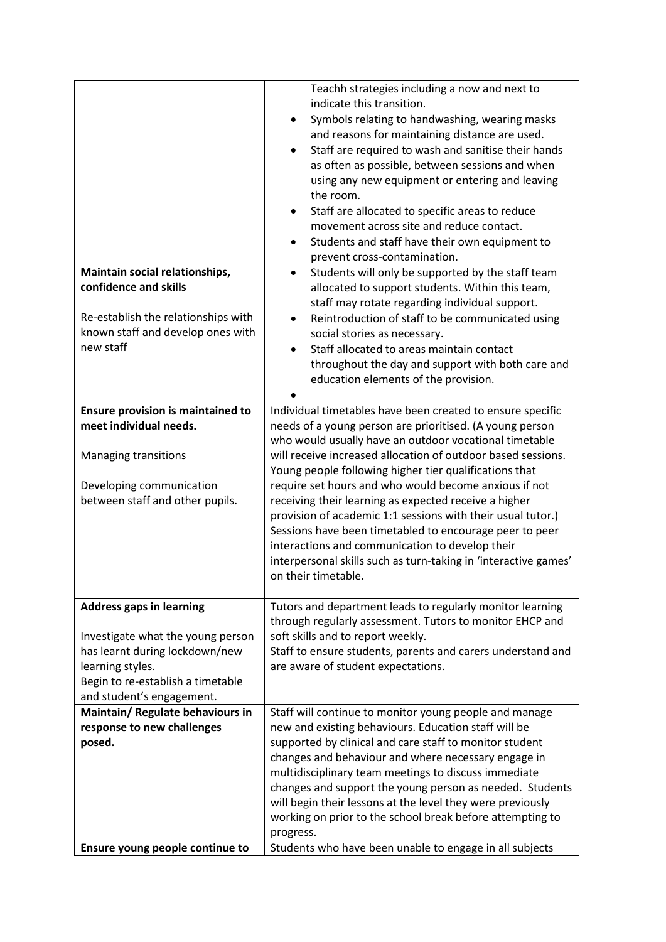|                                                                                                                                                                                              | Teachh strategies including a now and next to<br>indicate this transition.<br>Symbols relating to handwashing, wearing masks<br>and reasons for maintaining distance are used.<br>Staff are required to wash and sanitise their hands<br>$\bullet$<br>as often as possible, between sessions and when<br>using any new equipment or entering and leaving<br>the room.<br>Staff are allocated to specific areas to reduce<br>movement across site and reduce contact.<br>Students and staff have their own equipment to<br>prevent cross-contamination.                    |
|----------------------------------------------------------------------------------------------------------------------------------------------------------------------------------------------|---------------------------------------------------------------------------------------------------------------------------------------------------------------------------------------------------------------------------------------------------------------------------------------------------------------------------------------------------------------------------------------------------------------------------------------------------------------------------------------------------------------------------------------------------------------------------|
| Maintain social relationships,<br>confidence and skills                                                                                                                                      | Students will only be supported by the staff team<br>$\bullet$<br>allocated to support students. Within this team,                                                                                                                                                                                                                                                                                                                                                                                                                                                        |
| Re-establish the relationships with<br>known staff and develop ones with<br>new staff                                                                                                        | staff may rotate regarding individual support.<br>Reintroduction of staff to be communicated using<br>$\bullet$<br>social stories as necessary.<br>Staff allocated to areas maintain contact<br>throughout the day and support with both care and<br>education elements of the provision.                                                                                                                                                                                                                                                                                 |
| <b>Ensure provision is maintained to</b><br>meet individual needs.                                                                                                                           | Individual timetables have been created to ensure specific<br>needs of a young person are prioritised. (A young person                                                                                                                                                                                                                                                                                                                                                                                                                                                    |
| Managing transitions<br>Developing communication<br>between staff and other pupils.                                                                                                          | who would usually have an outdoor vocational timetable<br>will receive increased allocation of outdoor based sessions.<br>Young people following higher tier qualifications that<br>require set hours and who would become anxious if not<br>receiving their learning as expected receive a higher<br>provision of academic 1:1 sessions with their usual tutor.)<br>Sessions have been timetabled to encourage peer to peer<br>interactions and communication to develop their<br>interpersonal skills such as turn-taking in 'interactive games'<br>on their timetable. |
| <b>Address gaps in learning</b><br>Investigate what the young person<br>has learnt during lockdown/new<br>learning styles.<br>Begin to re-establish a timetable<br>and student's engagement. | Tutors and department leads to regularly monitor learning<br>through regularly assessment. Tutors to monitor EHCP and<br>soft skills and to report weekly.<br>Staff to ensure students, parents and carers understand and<br>are aware of student expectations.                                                                                                                                                                                                                                                                                                           |
| Maintain/ Regulate behaviours in                                                                                                                                                             | Staff will continue to monitor young people and manage                                                                                                                                                                                                                                                                                                                                                                                                                                                                                                                    |
| response to new challenges<br>posed.                                                                                                                                                         | new and existing behaviours. Education staff will be<br>supported by clinical and care staff to monitor student<br>changes and behaviour and where necessary engage in<br>multidisciplinary team meetings to discuss immediate<br>changes and support the young person as needed. Students<br>will begin their lessons at the level they were previously<br>working on prior to the school break before attempting to<br>progress.                                                                                                                                        |
| Ensure young people continue to                                                                                                                                                              | Students who have been unable to engage in all subjects                                                                                                                                                                                                                                                                                                                                                                                                                                                                                                                   |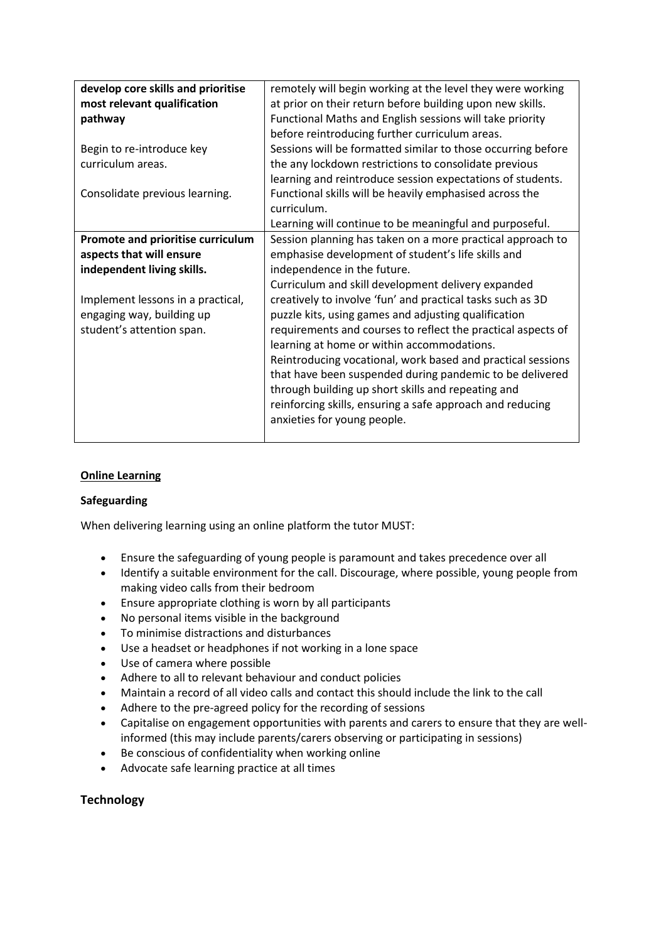| develop core skills and prioritise | remotely will begin working at the level they were working   |
|------------------------------------|--------------------------------------------------------------|
| most relevant qualification        | at prior on their return before building upon new skills.    |
| pathway                            | Functional Maths and English sessions will take priority     |
|                                    | before reintroducing further curriculum areas.               |
| Begin to re-introduce key          | Sessions will be formatted similar to those occurring before |
| curriculum areas.                  | the any lockdown restrictions to consolidate previous        |
|                                    | learning and reintroduce session expectations of students.   |
| Consolidate previous learning.     | Functional skills will be heavily emphasised across the      |
|                                    | curriculum.                                                  |
|                                    | Learning will continue to be meaningful and purposeful.      |
| Promote and prioritise curriculum  | Session planning has taken on a more practical approach to   |
| aspects that will ensure           | emphasise development of student's life skills and           |
| independent living skills.         | independence in the future.                                  |
|                                    | Curriculum and skill development delivery expanded           |
| Implement lessons in a practical,  | creatively to involve 'fun' and practical tasks such as 3D   |
| engaging way, building up          | puzzle kits, using games and adjusting qualification         |
| student's attention span.          | requirements and courses to reflect the practical aspects of |
|                                    | learning at home or within accommodations.                   |
|                                    | Reintroducing vocational, work based and practical sessions  |
|                                    | that have been suspended during pandemic to be delivered     |
|                                    | through building up short skills and repeating and           |
|                                    | reinforcing skills, ensuring a safe approach and reducing    |
|                                    | anxieties for young people.                                  |
|                                    |                                                              |

# **Online Learning**

#### **Safeguarding**

When delivering learning using an online platform the tutor MUST:

- Ensure the safeguarding of young people is paramount and takes precedence over all
- Identify a suitable environment for the call. Discourage, where possible, young people from making video calls from their bedroom
- Ensure appropriate clothing is worn by all participants
- No personal items visible in the background
- To minimise distractions and disturbances
- Use a headset or headphones if not working in a lone space
- Use of camera where possible
- Adhere to all to relevant behaviour and conduct policies
- Maintain a record of all video calls and contact this should include the link to the call
- Adhere to the pre-agreed policy for the recording of sessions
- Capitalise on engagement opportunities with parents and carers to ensure that they are wellinformed (this may include parents/carers observing or participating in sessions)
- Be conscious of confidentiality when working online
- Advocate safe learning practice at all times

# **Technology**